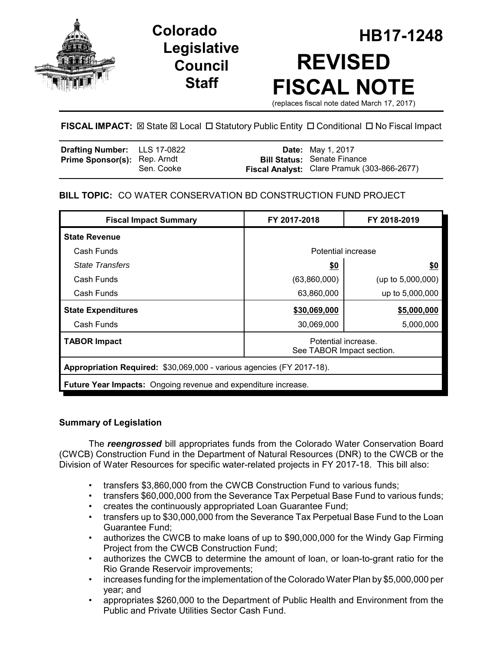

# **Legislative Council Staff**

# **HB17-1248 Colorado REVISED FISCAL NOTE** (replaces fiscal note dated March 17, 2017)

# **FISCAL IMPACT:**  $\boxtimes$  **State**  $\boxtimes$  **Local □ Statutory Public Entity □ Conditional □ No Fiscal Impact**

| Drafting Number: LLS 17-0822        |            | <b>Date:</b> May 1, 2017                                                          |
|-------------------------------------|------------|-----------------------------------------------------------------------------------|
| <b>Prime Sponsor(s): Rep. Arndt</b> | Sen. Cooke | <b>Bill Status: Senate Finance</b><br>Fiscal Analyst: Clare Pramuk (303-866-2677) |

# **BILL TOPIC:** CO WATER CONSERVATION BD CONSTRUCTION FUND PROJECT

| <b>Fiscal Impact Summary</b>                                          | FY 2017-2018                                     | FY 2018-2019         |  |  |
|-----------------------------------------------------------------------|--------------------------------------------------|----------------------|--|--|
| <b>State Revenue</b>                                                  |                                                  |                      |  |  |
| Cash Funds                                                            | Potential increase                               |                      |  |  |
| <b>State Transfers</b>                                                | \$0                                              | <u>\$0</u>           |  |  |
| Cash Funds                                                            | (63,860,000)                                     | (up to $5,000,000$ ) |  |  |
| Cash Funds                                                            | 63,860,000                                       | up to 5,000,000      |  |  |
| <b>State Expenditures</b>                                             | \$30,069,000                                     | \$5,000,000          |  |  |
| Cash Funds                                                            | 30,069,000                                       | 5,000,000            |  |  |
| <b>TABOR Impact</b>                                                   | Potential increase.<br>See TABOR Impact section. |                      |  |  |
| Appropriation Required: \$30,069,000 - various agencies (FY 2017-18). |                                                  |                      |  |  |
| <b>Future Year Impacts:</b> Ongoing revenue and expenditure increase. |                                                  |                      |  |  |

# **Summary of Legislation**

The *reengrossed* bill appropriates funds from the Colorado Water Conservation Board (CWCB) Construction Fund in the Department of Natural Resources (DNR) to the CWCB or the Division of Water Resources for specific water-related projects in FY 2017-18. This bill also:

- transfers \$3,860,000 from the CWCB Construction Fund to various funds;
- transfers \$60,000,000 from the Severance Tax Perpetual Base Fund to various funds;
- creates the continuously appropriated Loan Guarantee Fund;
- transfers up to \$30,000,000 from the Severance Tax Perpetual Base Fund to the Loan Guarantee Fund;
- authorizes the CWCB to make loans of up to \$90,000,000 for the Windy Gap Firming Project from the CWCB Construction Fund;
- authorizes the CWCB to determine the amount of loan, or loan-to-grant ratio for the Rio Grande Reservoir improvements;
- increases funding for the implementation of the Colorado Water Plan by \$5,000,000 per year; and
- appropriates \$260,000 to the Department of Public Health and Environment from the Public and Private Utilities Sector Cash Fund.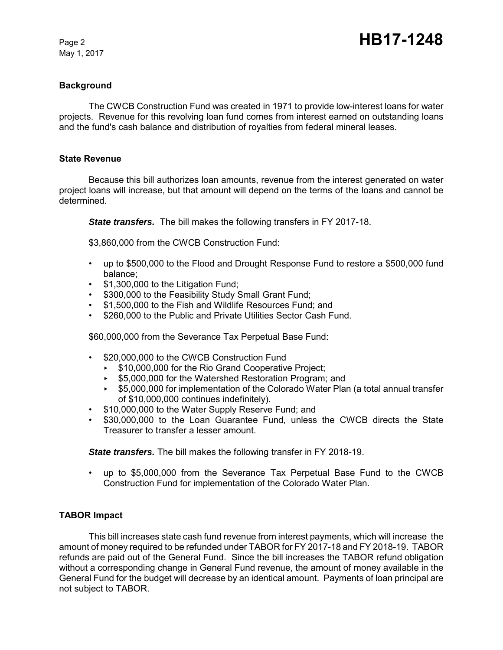May 1, 2017

### **Background**

The CWCB Construction Fund was created in 1971 to provide low-interest loans for water projects. Revenue for this revolving loan fund comes from interest earned on outstanding loans and the fund's cash balance and distribution of royalties from federal mineral leases.

#### **State Revenue**

Because this bill authorizes loan amounts, revenue from the interest generated on water project loans will increase, but that amount will depend on the terms of the loans and cannot be determined.

*State transfers.* The bill makes the following transfers in FY 2017-18.

\$3,860,000 from the CWCB Construction Fund:

- up to \$500,000 to the Flood and Drought Response Fund to restore a \$500,000 fund balance;
- \$1,300,000 to the Litigation Fund;
- \$300,000 to the Feasibility Study Small Grant Fund;
- \$1,500,000 to the Fish and Wildlife Resources Fund; and
- \$260,000 to the Public and Private Utilities Sector Cash Fund.

\$60,000,000 from the Severance Tax Perpetual Base Fund:

- \$20,000,000 to the CWCB Construction Fund
	- ► \$10,000,000 for the Rio Grand Cooperative Project;
	- ► \$5,000,000 for the Watershed Restoration Program; and
	- < \$5,000,000 for implementation of the Colorado Water Plan (a total annual transfer of \$10,000,000 continues indefinitely).
- \$10,000,000 to the Water Supply Reserve Fund; and
- \$30,000,000 to the Loan Guarantee Fund, unless the CWCB directs the State Treasurer to transfer a lesser amount.

*State transfers.* The bill makes the following transfer in FY 2018-19.

• up to \$5,000,000 from the Severance Tax Perpetual Base Fund to the CWCB Construction Fund for implementation of the Colorado Water Plan.

# **TABOR Impact**

This bill increases state cash fund revenue from interest payments, which will increase the amount of money required to be refunded under TABOR for FY 2017-18 and FY 2018-19. TABOR refunds are paid out of the General Fund. Since the bill increases the TABOR refund obligation without a corresponding change in General Fund revenue, the amount of money available in the General Fund for the budget will decrease by an identical amount. Payments of loan principal are not subject to TABOR.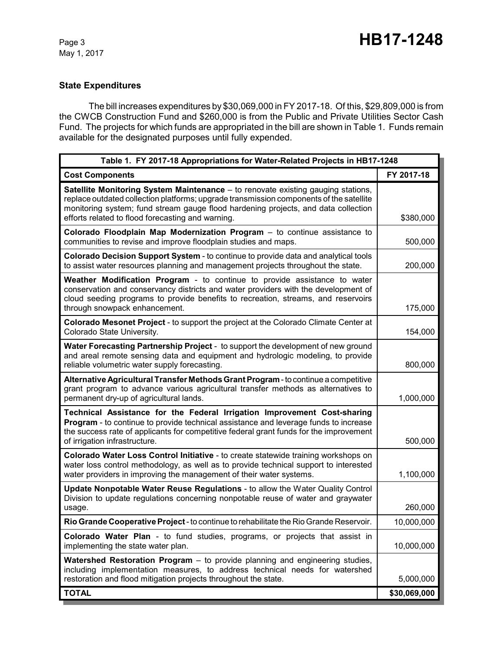# **State Expenditures**

The bill increases expenditures by \$30,069,000 in FY 2017-18. Of this, \$29,809,000 is from the CWCB Construction Fund and \$260,000 is from the Public and Private Utilities Sector Cash Fund. The projects for which funds are appropriated in the bill are shown in Table 1. Funds remain available for the designated purposes until fully expended.

| Table 1. FY 2017-18 Appropriations for Water-Related Projects in HB17-1248                                                                                                                                                                                                                                                    |              |  |  |
|-------------------------------------------------------------------------------------------------------------------------------------------------------------------------------------------------------------------------------------------------------------------------------------------------------------------------------|--------------|--|--|
| <b>Cost Components</b>                                                                                                                                                                                                                                                                                                        | FY 2017-18   |  |  |
| <b>Satellite Monitoring System Maintenance</b> – to renovate existing gauging stations,<br>replace outdated collection platforms; upgrade transmission components of the satellite<br>monitoring system; fund stream gauge flood hardening projects, and data collection<br>efforts related to flood forecasting and warning. | \$380,000    |  |  |
| Colorado Floodplain Map Modernization Program - to continue assistance to<br>communities to revise and improve floodplain studies and maps.                                                                                                                                                                                   | 500,000      |  |  |
| Colorado Decision Support System - to continue to provide data and analytical tools<br>to assist water resources planning and management projects throughout the state.                                                                                                                                                       | 200,000      |  |  |
| Weather Modification Program - to continue to provide assistance to water<br>conservation and conservancy districts and water providers with the development of<br>cloud seeding programs to provide benefits to recreation, streams, and reservoirs<br>through snowpack enhancement.                                         | 175,000      |  |  |
| Colorado Mesonet Project - to support the project at the Colorado Climate Center at<br>Colorado State University.                                                                                                                                                                                                             | 154,000      |  |  |
| Water Forecasting Partnership Project - to support the development of new ground<br>and areal remote sensing data and equipment and hydrologic modeling, to provide<br>reliable volumetric water supply forecasting.                                                                                                          | 800,000      |  |  |
| Alternative Agricultural Transfer Methods Grant Program - to continue a competitive<br>grant program to advance various agricultural transfer methods as alternatives to<br>permanent dry-up of agricultural lands.                                                                                                           | 1,000,000    |  |  |
| Technical Assistance for the Federal Irrigation Improvement Cost-sharing<br><b>Program</b> - to continue to provide technical assistance and leverage funds to increase<br>the success rate of applicants for competitive federal grant funds for the improvement<br>of irrigation infrastructure.                            | 500,000      |  |  |
| Colorado Water Loss Control Initiative - to create statewide training workshops on<br>water loss control methodology, as well as to provide technical support to interested<br>water providers in improving the management of their water systems.                                                                            | 1,100,000    |  |  |
| Update Nonpotable Water Reuse Regulations - to allow the Water Quality Control<br>Division to update regulations concerning nonpotable reuse of water and graywater<br>usage.                                                                                                                                                 | 260,000      |  |  |
| Rio Grande Cooperative Project - to continue to rehabilitate the Rio Grande Reservoir.                                                                                                                                                                                                                                        | 10,000,000   |  |  |
| Colorado Water Plan - to fund studies, programs, or projects that assist in<br>implementing the state water plan.                                                                                                                                                                                                             | 10,000,000   |  |  |
| <b>Watershed Restoration Program</b> – to provide planning and engineering studies,<br>including implementation measures, to address technical needs for watershed<br>restoration and flood mitigation projects throughout the state.                                                                                         | 5,000,000    |  |  |
| <b>TOTAL</b>                                                                                                                                                                                                                                                                                                                  | \$30,069,000 |  |  |